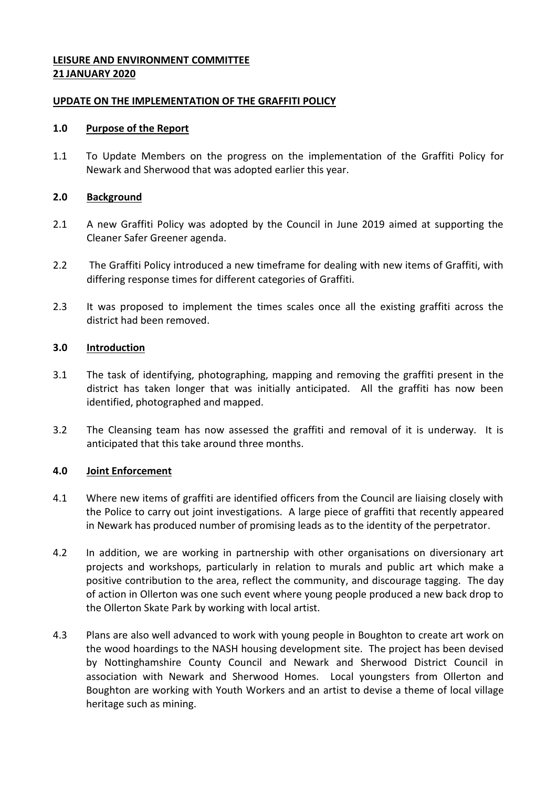# **LEISURE AND ENVIRONMENT COMMITTEE 21 JANUARY 2020**

### **UPDATE ON THE IMPLEMENTATION OF THE GRAFFITI POLICY**

#### **1.0 Purpose of the Report**

1.1 To Update Members on the progress on the implementation of the Graffiti Policy for Newark and Sherwood that was adopted earlier this year.

### **2.0 Background**

- 2.1 A new Graffiti Policy was adopted by the Council in June 2019 aimed at supporting the Cleaner Safer Greener agenda.
- 2.2 The Graffiti Policy introduced a new timeframe for dealing with new items of Graffiti, with differing response times for different categories of Graffiti.
- 2.3 It was proposed to implement the times scales once all the existing graffiti across the district had been removed.

#### **3.0 Introduction**

- 3.1 The task of identifying, photographing, mapping and removing the graffiti present in the district has taken longer that was initially anticipated. All the graffiti has now been identified, photographed and mapped.
- 3.2 The Cleansing team has now assessed the graffiti and removal of it is underway. It is anticipated that this take around three months.

## **4.0 Joint Enforcement**

- 4.1 Where new items of graffiti are identified officers from the Council are liaising closely with the Police to carry out joint investigations. A large piece of graffiti that recently appeared in Newark has produced number of promising leads as to the identity of the perpetrator.
- 4.2 In addition, we are working in partnership with other organisations on diversionary art projects and workshops, particularly in relation to murals and public art which make a positive contribution to the area, reflect the community, and discourage tagging. The day of action in Ollerton was one such event where young people produced a new back drop to the Ollerton Skate Park by working with local artist.
- 4.3 Plans are also well advanced to work with young people in Boughton to create art work on the wood hoardings to the NASH housing development site. The project has been devised by Nottinghamshire County Council and Newark and Sherwood District Council in association with Newark and Sherwood Homes. Local youngsters from Ollerton and Boughton are working with Youth Workers and an artist to devise a theme of local village heritage such as mining.